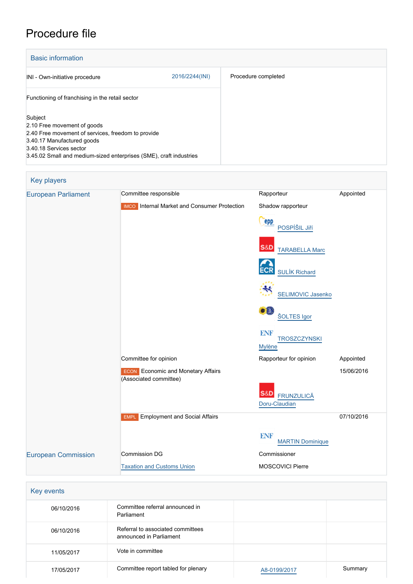## Procedure file

| <b>Basic information</b>                                                                                                                                                                                                    |                |                     |
|-----------------------------------------------------------------------------------------------------------------------------------------------------------------------------------------------------------------------------|----------------|---------------------|
| INI - Own-initiative procedure                                                                                                                                                                                              | 2016/2244(INI) | Procedure completed |
| Functioning of franchising in the retail sector                                                                                                                                                                             |                |                     |
| Subject<br>2.10 Free movement of goods<br>2.40 Free movement of services, freedom to provide<br>3.40.17 Manufactured goods<br>3.40.18 Services sector<br>3.45.02 Small and medium-sized enterprises (SME), craft industries |                |                     |



| Key events |                                                              |              |         |
|------------|--------------------------------------------------------------|--------------|---------|
| 06/10/2016 | Committee referral announced in<br>Parliament                |              |         |
| 06/10/2016 | Referral to associated committees<br>announced in Parliament |              |         |
| 11/05/2017 | Vote in committee                                            |              |         |
| 17/05/2017 | Committee report tabled for plenary                          | A8-0199/2017 | Summary |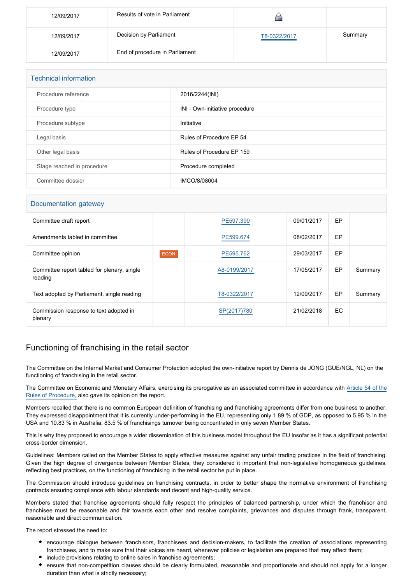| 12/09/2017 | Results of vote in Parliament  |              |         |
|------------|--------------------------------|--------------|---------|
| 12/09/2017 | Decision by Parliament         | T8-0322/2017 | Summary |
| 12/09/2017 | End of procedure in Parliament |              |         |

| <b>Technical information</b> |                                |  |  |
|------------------------------|--------------------------------|--|--|
| Procedure reference          | 2016/2244(INI)                 |  |  |
| Procedure type               | INI - Own-initiative procedure |  |  |
| Procedure subtype            | Initiative                     |  |  |
| Legal basis                  | Rules of Procedure EP 54       |  |  |
| Other legal basis            | Rules of Procedure EP 159      |  |  |
| Stage reached in procedure   | Procedure completed            |  |  |
| Committee dossier            | IMCO/8/08004                   |  |  |

## Documentation gateway

| Committee draft report                                 |             | PE597.399    | 09/01/2017 | EP |         |
|--------------------------------------------------------|-------------|--------------|------------|----|---------|
| Amendments tabled in committee                         |             | PE599.674    | 08/02/2017 | EP |         |
| Committee opinion                                      | <b>ECON</b> | PE595.762    | 29/03/2017 | EP |         |
| Committee report tabled for plenary, single<br>reading |             | A8-0199/2017 | 17/05/2017 | EP | Summary |
| Text adopted by Parliament, single reading             |             | T8-0322/2017 | 12/09/2017 | EP | Summary |
| Commission response to text adopted in<br>plenary      |             | SP(2017)780  | 21/02/2018 | EC |         |

## Functioning of franchising in the retail sector

The Committee on the Internal Market and Consumer Protection adopted the own-initiative report by Dennis de JONG (GUE/NGL, NL) on the functioning of franchising in the retail sector.

The Committee on Economic and Monetary Affairs, exercising its prerogative as an associated committee in accordance with [Article 54 of the](http://www.europarl.europa.eu/sides/getDoc.do?pubRef=-//EP//TEXT+RULES-EP+20140701+RULE-054+DOC+XML+V0//FR&navigationBar=YES) [Rules of Procedure,](http://www.europarl.europa.eu/sides/getDoc.do?pubRef=-//EP//TEXT+RULES-EP+20140701+RULE-054+DOC+XML+V0//FR&navigationBar=YES) also gave its opinion on the report.

Members recalled that there is no common European definition of franchising and franchising agreements differ from one business to another. They expressed disappointment that it is currently under-performing in the EU, representing only 1.89 % of GDP, as opposed to 5.95 % in the USA and 10.83 % in Australia, 83.5 % of franchisings turnover being concentrated in only seven Member States.

This is why they proposed to encourage a wider dissemination of this business model throughout the EU insofar as it has a significant potential cross-border dimension.

Guidelines: Members called on the Member States to apply effective measures against any unfair trading practices in the field of franchising. Given the high degree of divergence between Member States, they considered it important that non-legislative homogeneous guidelines, reflecting best practices, on the functioning of franchising in the retail sector be put in place.

The Commission should introduce guidelines on franchising contracts, in order to better shape the normative environment of franchising contracts ensuring compliance with labour standards and decent and high-quality service.

Members stated that franchise agreements should fully respect the principles of balanced partnership, under which the franchisor and franchisee must be reasonable and fair towards each other and resolve complaints, grievances and disputes through frank, transparent, reasonable and direct communication.

The report stressed the need to:

- encourage dialogue between franchisors, franchisees and decision-makers, to facilitate the creation of associations representing franchisees, and to make sure that their voices are heard, whenever policies or legislation are prepared that may affect them;
- include provisions relating to online sales in franchise agreements;
- ensure that non-competition clauses should be clearly formulated, reasonable and proportionate and should not apply for a longer duration than what is strictly necessary;